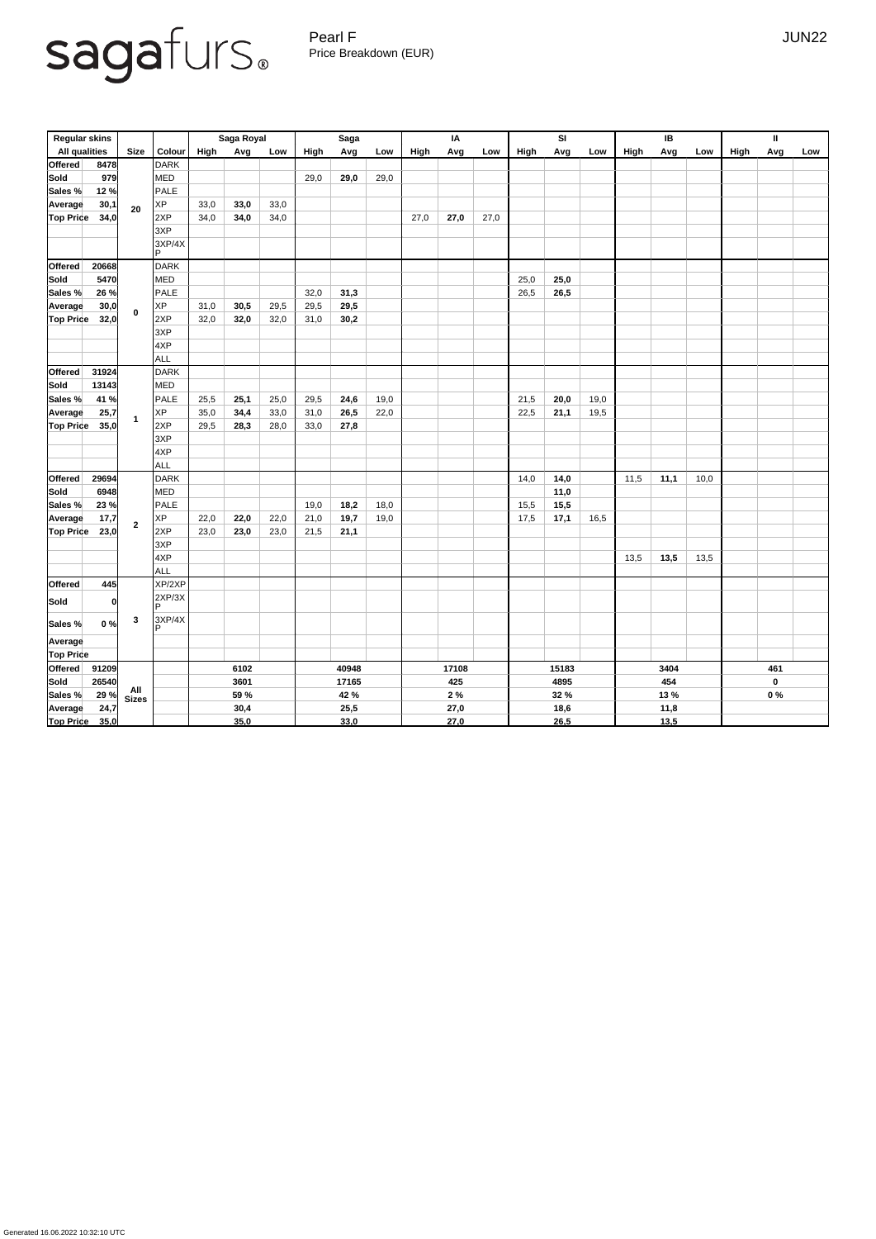Pearl F Gearl All Contracts and the UNITED STATES of the UNITED STATES of the UNITED STATES of the UNITED STATES of the UNITED STATES of the UNITED STATES of the UNITED STATES of the UNITED STATES of the UNITED STATES of t Price Breakdown (EUR)

| <b>Regular skins</b> |       |                  |                    |             | Saga Royal |      |      | <b>Saga</b> |      |      | IA   |      |             | <b>SI</b> |      |             | IB   |      |      | $\mathbf{II}$ |     |
|----------------------|-------|------------------|--------------------|-------------|------------|------|------|-------------|------|------|------|------|-------------|-----------|------|-------------|------|------|------|---------------|-----|
| <b>All qualities</b> |       | <b>Size</b>      | <b>Colour</b>      | <b>High</b> | Avg        | Low  | High | Avg         | Low  | High | Avg  | Low  | <b>High</b> | Avg       | Low  | <b>High</b> | Avg  | Low  | High | Avg           | Low |
| Offered              | 8478  |                  | <b>DARK</b>        |             |            |      |      |             |      |      |      |      |             |           |      |             |      |      |      |               |     |
| Sold                 | 979   |                  | MED                |             |            |      | 29,0 | 29,0        | 29,0 |      |      |      |             |           |      |             |      |      |      |               |     |
| Sales %              | 12%   |                  | PALE               |             |            |      |      |             |      |      |      |      |             |           |      |             |      |      |      |               |     |
| <b>Average</b>       | 30,1  | 20               | <b>XP</b>          | 33,0        | 33,0       | 33,0 |      |             |      |      |      |      |             |           |      |             |      |      |      |               |     |
| <b>Top Price</b>     | 34,0  |                  | 2XP                | 34,0        | 34,0       | 34,0 |      |             |      | 27,0 | 27,0 | 27,0 |             |           |      |             |      |      |      |               |     |
|                      |       |                  | 3XP                |             |            |      |      |             |      |      |      |      |             |           |      |             |      |      |      |               |     |
|                      |       |                  | 3XP/4X             |             |            |      |      |             |      |      |      |      |             |           |      |             |      |      |      |               |     |
|                      |       |                  | IP.                |             |            |      |      |             |      |      |      |      |             |           |      |             |      |      |      |               |     |
| Offered              | 20668 |                  | <b>DARK</b>        |             |            |      |      |             |      |      |      |      |             |           |      |             |      |      |      |               |     |
| <b>Sold</b>          | 5470  |                  | MED                |             |            |      |      |             |      |      |      |      | 25,0        | 25,0      |      |             |      |      |      |               |     |
| Sales %              | 26 %  |                  | PALE               |             |            |      | 32,0 | 31,3        |      |      |      |      | 26,5        | 26,5      |      |             |      |      |      |               |     |
| <b>Average</b>       | 30,0  | $\mathbf 0$      | <b>XP</b>          | 31,0        | 30,5       | 29,5 | 29,5 | 29,5        |      |      |      |      |             |           |      |             |      |      |      |               |     |
| <b>Top Price</b>     | 32,0  |                  | 2XP                | 32,0        | 32,0       | 32,0 | 31,0 | 30,2        |      |      |      |      |             |           |      |             |      |      |      |               |     |
|                      |       |                  | 3XP                |             |            |      |      |             |      |      |      |      |             |           |      |             |      |      |      |               |     |
|                      |       |                  | 4XP                |             |            |      |      |             |      |      |      |      |             |           |      |             |      |      |      |               |     |
|                      |       |                  | <b>ALL</b>         |             |            |      |      |             |      |      |      |      |             |           |      |             |      |      |      |               |     |
| Offered              | 31924 |                  | <b>DARK</b>        |             |            |      |      |             |      |      |      |      |             |           |      |             |      |      |      |               |     |
| <b>Sold</b>          | 13143 |                  | MED                |             |            |      |      |             |      |      |      |      |             |           |      |             |      |      |      |               |     |
| Sales %              | 41 %  |                  | PALE               | 25,5        | 25,1       | 25,0 | 29,5 | 24,6        | 19,0 |      |      |      | 21,5        | 20,0      | 19,0 |             |      |      |      |               |     |
| <b>Average</b>       | 25,7  |                  | <b>XP</b>          | 35,0        | 34,4       | 33,0 | 31,0 | 26,5        | 22,0 |      |      |      | 22,5        | 21,1      | 19,5 |             |      |      |      |               |     |
| <b>Top Price</b>     | 35,0  |                  | 2XP                | 29,5        | 28,3       | 28,0 | 33,0 | 27,8        |      |      |      |      |             |           |      |             |      |      |      |               |     |
|                      |       |                  | 3XP                |             |            |      |      |             |      |      |      |      |             |           |      |             |      |      |      |               |     |
|                      |       |                  | 4XP                |             |            |      |      |             |      |      |      |      |             |           |      |             |      |      |      |               |     |
|                      |       |                  | ALL                |             |            |      |      |             |      |      |      |      |             |           |      |             |      |      |      |               |     |
| Offered              | 29694 |                  | DARK               |             |            |      |      |             |      |      |      |      | 14,0        | 14,0      |      | 11,5        | 11,1 | 10,0 |      |               |     |
| <b>Sold</b>          | 6948  |                  | MED                |             |            |      |      |             |      |      |      |      |             | 11,0      |      |             |      |      |      |               |     |
| Sales %              | 23%   |                  | PALE               |             |            |      | 19,0 | 18,2        | 18,0 |      |      |      | 15,5        | 15,5      |      |             |      |      |      |               |     |
| Average              | 17,7  | $\overline{2}$   | XP                 | 22,0        | 22,0       | 22,0 | 21,0 | 19,7        | 19,0 |      |      |      | 17,5        | 17,1      | 16,5 |             |      |      |      |               |     |
| <b>Top Price</b>     | 23,0  |                  | 2XP                | 23,0        | 23,0       | 23,0 | 21,5 | 21,1        |      |      |      |      |             |           |      |             |      |      |      |               |     |
|                      |       |                  | 3XP                |             |            |      |      |             |      |      |      |      |             |           |      |             |      |      |      |               |     |
|                      |       |                  | 4XP                |             |            |      |      |             |      |      |      |      |             |           |      | 13,5        | 13,5 | 13,5 |      |               |     |
|                      |       |                  | ALL                |             |            |      |      |             |      |      |      |      |             |           |      |             |      |      |      |               |     |
| Offered              | 445   |                  | XP/2XP             |             |            |      |      |             |      |      |      |      |             |           |      |             |      |      |      |               |     |
| <b>Sold</b>          | 0     |                  | 2XP/3X<br><b>P</b> |             |            |      |      |             |      |      |      |      |             |           |      |             |      |      |      |               |     |
| Sales %              | 0%    | $\boldsymbol{3}$ | 3XP/4X             |             |            |      |      |             |      |      |      |      |             |           |      |             |      |      |      |               |     |
| Average              |       |                  |                    |             |            |      |      |             |      |      |      |      |             |           |      |             |      |      |      |               |     |
| <b>Top Price</b>     |       |                  |                    |             |            |      |      |             |      |      |      |      |             |           |      |             |      |      |      |               |     |

| <b>Offered</b>   | 91209 |                     | 6102 | 40948 | 17108 | 15183 | 3404 | 461 |
|------------------|-------|---------------------|------|-------|-------|-------|------|-----|
| Sold             | 26540 |                     | 3601 | 17165 | 425   | 4895  | 454  |     |
| Sales %          | 29%   | All<br><b>Sizes</b> | 59 % | 42 %  | 2%    | 32 %  | 13 % | 0%  |
| Average          | 24,7  |                     | 30,4 | 25,5  | 27,0  | 18,6  | 11,8 |     |
| <b>Top Price</b> | 35,0  |                     | 35,0 | 33,0  | 27,0  | 26,5  | 13,5 |     |